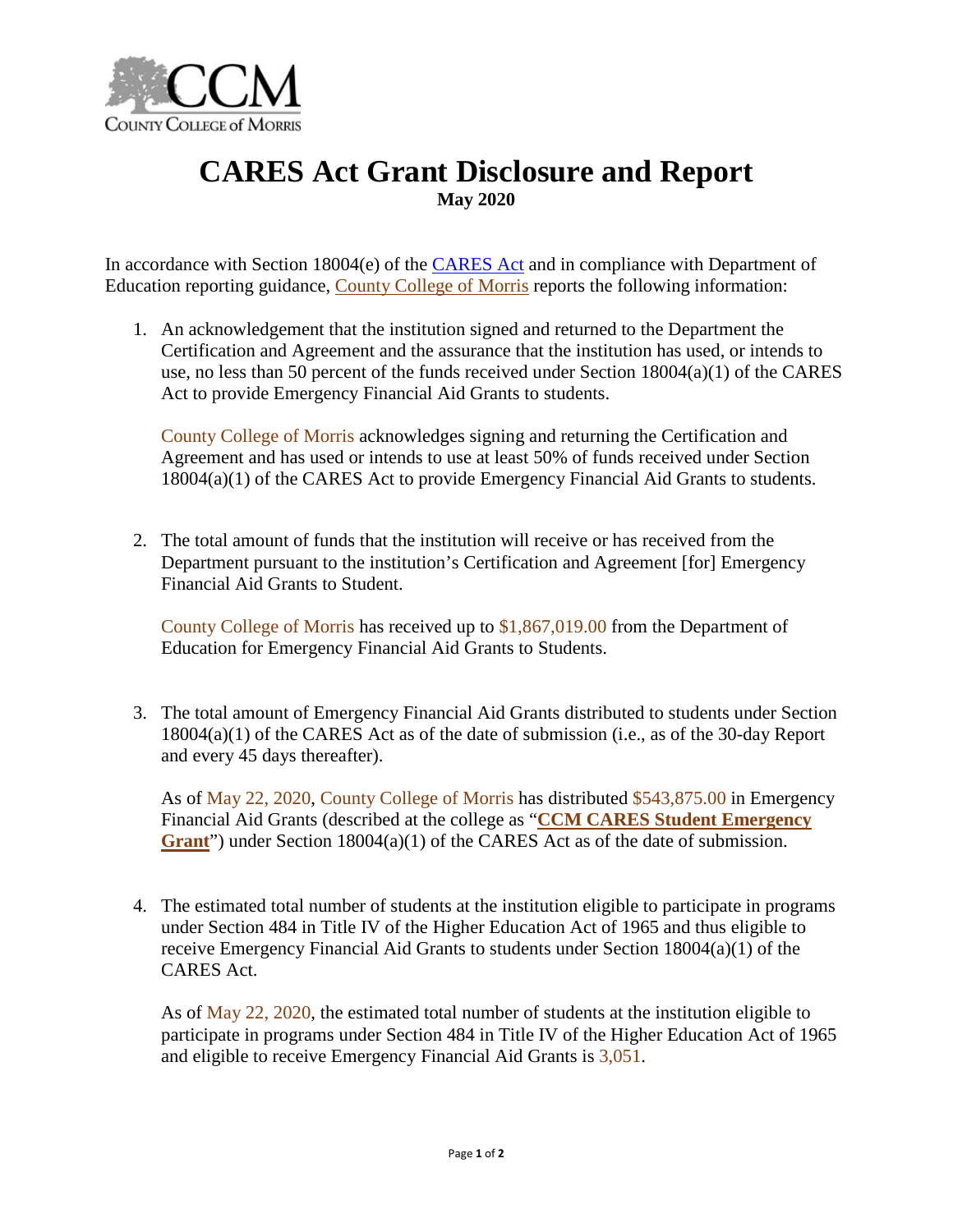

## **CARES Act Grant Disclosure and Report May 2020**

In accordance with Section 18004(e) of the **CARES** Act and in compliance with Department of Education reporting guidance, [County College of Morris](https://www.ccm.edu/) reports the following information:

1. An acknowledgement that the institution signed and returned to the Department the Certification and Agreement and the assurance that the institution has used, or intends to use, no less than 50 percent of the funds received under Section 18004(a)(1) of the CARES Act to provide Emergency Financial Aid Grants to students.

County College of Morris acknowledges signing and returning the Certification and Agreement and has used or intends to use at least 50% of funds received under Section 18004(a)(1) of the CARES Act to provide Emergency Financial Aid Grants to students.

2. The total amount of funds that the institution will receive or has received from the Department pursuant to the institution's Certification and Agreement [for] Emergency Financial Aid Grants to Student.

County College of Morris has received up to \$1,867,019.00 from the Department of Education for Emergency Financial Aid Grants to Students.

3. The total amount of Emergency Financial Aid Grants distributed to students under Section 18004(a)(1) of the CARES Act as of the date of submission (i.e., as of the 30-day Report and every 45 days thereafter).

As of May 22, 2020, County College of Morris has distributed \$543,875.00 in Emergency Financial Aid Grants (described at the college as "**CCM [CARES Student Emergency](https://www.ccm.edu/admissions/financialaid/ccmcares-studentemergencygrant/)**  [Grant](https://www.ccm.edu/admissions/financialaid/ccmcares-studentemergencygrant/)") under Section 18004(a)(1) of the CARES Act as of the date of submission.

4. The estimated total number of students at the institution eligible to participate in programs under Section 484 in Title IV of the Higher Education Act of 1965 and thus eligible to receive Emergency Financial Aid Grants to students under Section 18004(a)(1) of the CARES Act.

As of May 22, 2020, the estimated total number of students at the institution eligible to participate in programs under Section 484 in Title IV of the Higher Education Act of 1965 and eligible to receive Emergency Financial Aid Grants is  $3,051$ .